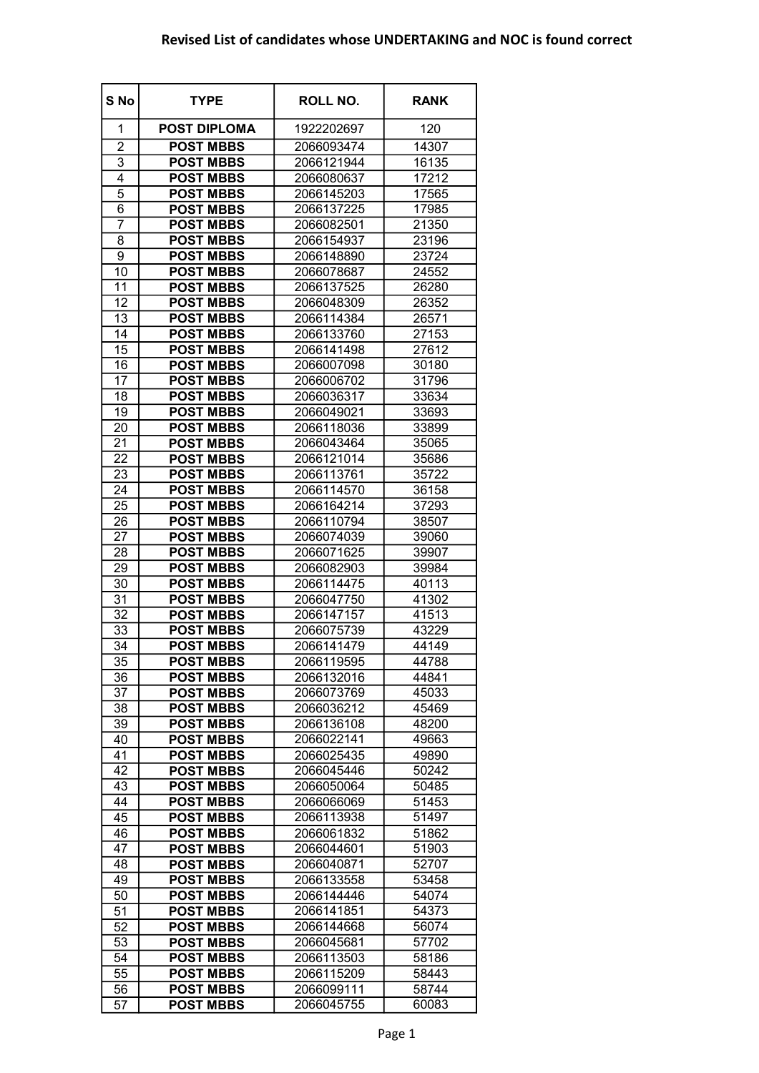## Revised List of candidates whose UNDERTAKING and NOC is found correct

| S No           | <b>TYPE</b>         | <b>ROLL NO.</b> | <b>RANK</b> |
|----------------|---------------------|-----------------|-------------|
| 1              | <b>POST DIPLOMA</b> | 1922202697      | 120         |
| $\overline{c}$ | <b>POST MBBS</b>    | 2066093474      | 14307       |
| 3              | <b>POST MBBS</b>    | 2066121944      | 16135       |
| 4              | <b>POST MBBS</b>    | 2066080637      | 17212       |
| $\overline{5}$ | <b>POST MBBS</b>    | 2066145203      | 17565       |
| 6              | <b>POST MBBS</b>    | 2066137225      | 17985       |
| 7              | <b>POST MBBS</b>    | 2066082501      | 21350       |
| 8              | <b>POST MBBS</b>    | 2066154937      | 23196       |
| 9              | <b>POST MBBS</b>    | 2066148890      | 23724       |
| 10             | <b>POST MBBS</b>    | 2066078687      | 24552       |
| 11             | <b>POST MBBS</b>    | 2066137525      | 26280       |
| 12             | <b>POST MBBS</b>    | 2066048309      | 26352       |
| 13             | <b>POST MBBS</b>    | 2066114384      | 26571       |
| 14             | <b>POST MBBS</b>    | 2066133760      | 27153       |
| 15             | <b>POST MBBS</b>    | 2066141498      | 27612       |
| 16             | <b>POST MBBS</b>    | 2066007098      | 30180       |
| 17             | <b>POST MBBS</b>    | 2066006702      | 31796       |
| 18             | <b>POST MBBS</b>    | 2066036317      | 33634       |
| 19             | <b>POST MBBS</b>    | 2066049021      | 33693       |
| 20             | <b>POST MBBS</b>    | 2066118036      | 33899       |
| 21             | <b>POST MBBS</b>    | 2066043464      | 35065       |
| 22             | <b>POST MBBS</b>    | 2066121014      | 35686       |
| 23             | <b>POST MBBS</b>    | 2066113761      | 35722       |
| 24             | <b>POST MBBS</b>    | 2066114570      | 36158       |
| 25             | <b>POST MBBS</b>    | 2066164214      | 37293       |
| 26             | <b>POST MBBS</b>    | 2066110794      | 38507       |
| 27             | <b>POST MBBS</b>    | 2066074039      | 39060       |
| 28             | <b>POST MBBS</b>    | 2066071625      | 39907       |
| 29             | <b>POST MBBS</b>    | 2066082903      | 39984       |
| 30             | <b>POST MBBS</b>    | 2066114475      | 40113       |
| 31             | <b>POST MBBS</b>    | 2066047750      | 41302       |
| 32             | <b>POST MBBS</b>    | 2066147157      | 41513       |
| 33             | <b>POST MBBS</b>    | 2066075739      | 43229       |
| 34             | <b>POST MBBS</b>    | 2066141479      | 44149       |
| 35             | <b>POST MBBS</b>    | 2066119595      | 44788       |
| 36             | <b>POST MBBS</b>    | 2066132016      | 44841       |
| 37             | <b>POST MBBS</b>    | 2066073769      | 45033       |
| 38             | <b>POST MBBS</b>    | 2066036212      | 45469       |
| 39             | <b>POST MBBS</b>    | 2066136108      | 48200       |
| 40             | <b>POST MBBS</b>    | 2066022141      | 49663       |
| 41             | <b>POST MBBS</b>    | 2066025435      | 49890       |
| 42             | <b>POST MBBS</b>    | 2066045446      | 50242       |
| 43             | <b>POST MBBS</b>    | 2066050064      | 50485       |
| 44             | <b>POST MBBS</b>    | 2066066069      | 51453       |
| 45             | <b>POST MBBS</b>    | 2066113938      | 51497       |
| 46             | <b>POST MBBS</b>    | 2066061832      | 51862       |
| 47             | <b>POST MBBS</b>    | 2066044601      | 51903       |
| 48             | <b>POST MBBS</b>    | 2066040871      | 52707       |
| 49             | <b>POST MBBS</b>    | 2066133558      | 53458       |
| 50             | <b>POST MBBS</b>    | 2066144446      | 54074       |
| 51             | <b>POST MBBS</b>    | 2066141851      | 54373       |
| 52             | <b>POST MBBS</b>    | 2066144668      | 56074       |
| 53             | <b>POST MBBS</b>    | 2066045681      | 57702       |
| 54             | <b>POST MBBS</b>    | 2066113503      | 58186       |
|                |                     | 2066115209      |             |
| 55             | <b>POST MBBS</b>    |                 | 58443       |
| 56             | <b>POST MBBS</b>    | 2066099111      | 58744       |
| 57             | <b>POST MBBS</b>    | 2066045755      | 60083       |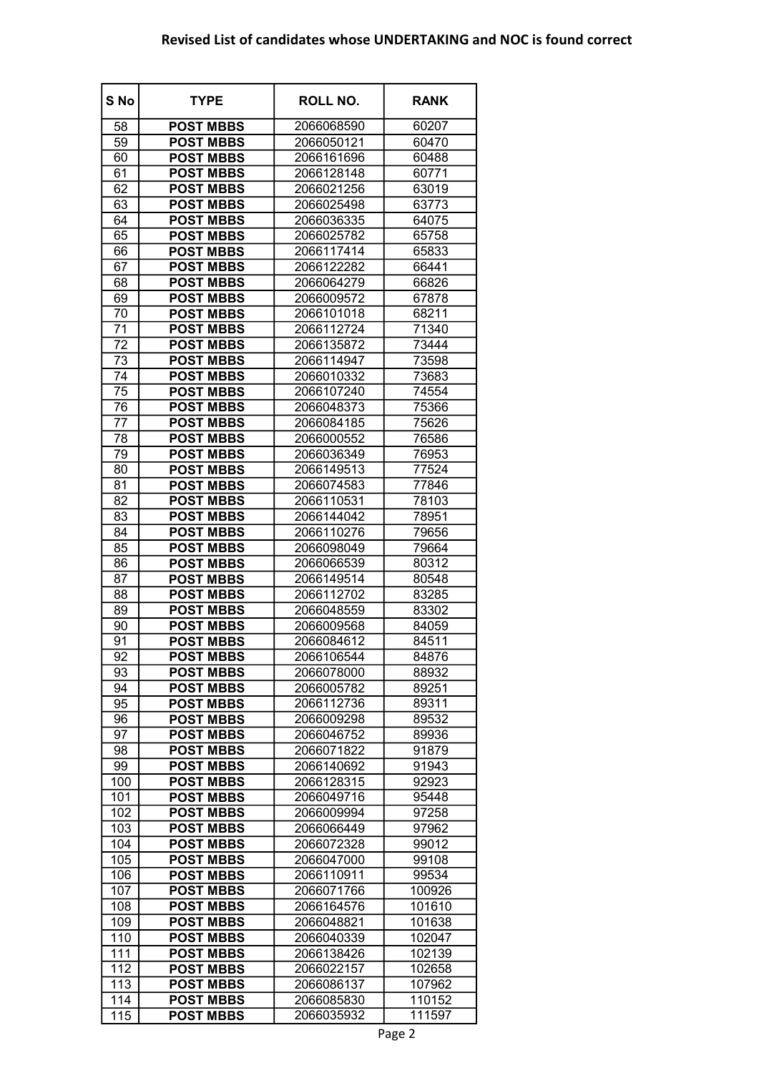## Revised List of candidates whose UNDERTAKING and NOC is found correct

| S No | <b>TYPE</b>      | ROLL NO.   | <b>RANK</b> |
|------|------------------|------------|-------------|
| 58   | <b>POST MBBS</b> | 2066068590 | 60207       |
| 59   | <b>POST MBBS</b> | 2066050121 | 60470       |
| 60   | <b>POST MBBS</b> | 2066161696 | 60488       |
| 61   | <b>POST MBBS</b> | 2066128148 | 60771       |
| 62   | <b>POST MBBS</b> | 2066021256 | 63019       |
| 63   | <b>POST MBBS</b> | 2066025498 | 63773       |
| 64   | <b>POST MBBS</b> | 2066036335 | 64075       |
| 65   | <b>POST MBBS</b> | 2066025782 | 65758       |
| 66   | <b>POST MBBS</b> | 2066117414 | 65833       |
| 67   | <b>POST MBBS</b> | 2066122282 | 66441       |
| 68   | <b>POST MBBS</b> | 2066064279 | 66826       |
| 69   | <b>POST MBBS</b> | 2066009572 | 67878       |
| 70   | <b>POST MBBS</b> | 2066101018 | 68211       |
| 71   | <b>POST MBBS</b> | 2066112724 | 71340       |
| 72   | <b>POST MBBS</b> | 2066135872 | 73444       |
| 73   | <b>POST MBBS</b> | 2066114947 | 73598       |
| 74   | <b>POST MBBS</b> | 2066010332 | 73683       |
| 75   | <b>POST MBBS</b> | 2066107240 | 74554       |
| 76   | <b>POST MBBS</b> | 2066048373 | 75366       |
| 77   | <b>POST MBBS</b> | 2066084185 | 75626       |
| 78   | <b>POST MBBS</b> | 2066000552 | 76586       |
| 79   | <b>POST MBBS</b> | 2066036349 | 76953       |
| 80   | <b>POST MBBS</b> | 2066149513 | 77524       |
| 81   | <b>POST MBBS</b> | 2066074583 | 77846       |
| 82   | <b>POST MBBS</b> | 2066110531 | 78103       |
| 83   | <b>POST MBBS</b> | 2066144042 | 78951       |
| 84   | <b>POST MBBS</b> | 2066110276 | 79656       |
| 85   | <b>POST MBBS</b> | 2066098049 | 79664       |
| 86   | <b>POST MBBS</b> | 2066066539 | 80312       |
| 87   | <b>POST MBBS</b> | 2066149514 | 80548       |
| 88   | <b>POST MBBS</b> | 2066112702 | 83285       |
| 89   | <b>POST MBBS</b> | 2066048559 | 83302       |
| 90   | <b>POST MBBS</b> | 2066009568 | 84059       |
| 91   | <b>POST MBBS</b> | 2066084612 | 84511       |
| 92   | <b>POST MBBS</b> | 2066106544 | 84876       |
| 93   | <b>POST MBBS</b> | 2066078000 | 88932       |
| 94   | <b>POST MBBS</b> | 2066005782 | 89251       |
| 95   | <b>POST MBBS</b> | 2066112736 | 89311       |
| 96   | <b>POST MBBS</b> | 2066009298 | 89532       |
| 97   | <b>POST MBBS</b> | 2066046752 | 89936       |
| 98   | <b>POST MBBS</b> | 2066071822 | 91879       |
| 99   | <b>POST MBBS</b> | 2066140692 | 91943       |
| 100  | <b>POST MBBS</b> | 2066128315 | 92923       |
| 101  | <b>POST MBBS</b> | 2066049716 | 95448       |
| 102  | <b>POST MBBS</b> | 2066009994 | 97258       |
| 103  | <b>POST MBBS</b> | 2066066449 | 97962       |
| 104  | <b>POST MBBS</b> | 2066072328 | 99012       |
| 105  | <b>POST MBBS</b> | 2066047000 | 99108       |
| 106  | <b>POST MBBS</b> | 2066110911 | 99534       |
| 107  | <b>POST MBBS</b> | 2066071766 | 100926      |
| 108  | <b>POST MBBS</b> | 2066164576 | 101610      |
| 109  | <b>POST MBBS</b> | 2066048821 | 101638      |
| 110  | <b>POST MBBS</b> | 2066040339 | 102047      |
| 111  | <b>POST MBBS</b> | 2066138426 | 102139      |
| 112  | <b>POST MBBS</b> | 2066022157 | 102658      |
| 113  | <b>POST MBBS</b> | 2066086137 | 107962      |
| 114  | <b>POST MBBS</b> | 2066085830 | 110152      |
| 115  | <b>POST MBBS</b> | 2066035932 | 111597      |